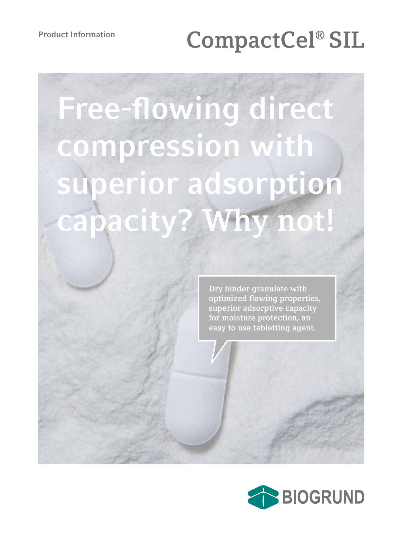# Product Information<br> **CompactCel®** SIL

# **Free-flowing direct compression with superior adsorption capacity? Why not!**

**Dry binder granulate with optimized flowing properties, superior adsorptive capacity for moisture protection, an easy to use tabletting agent.**